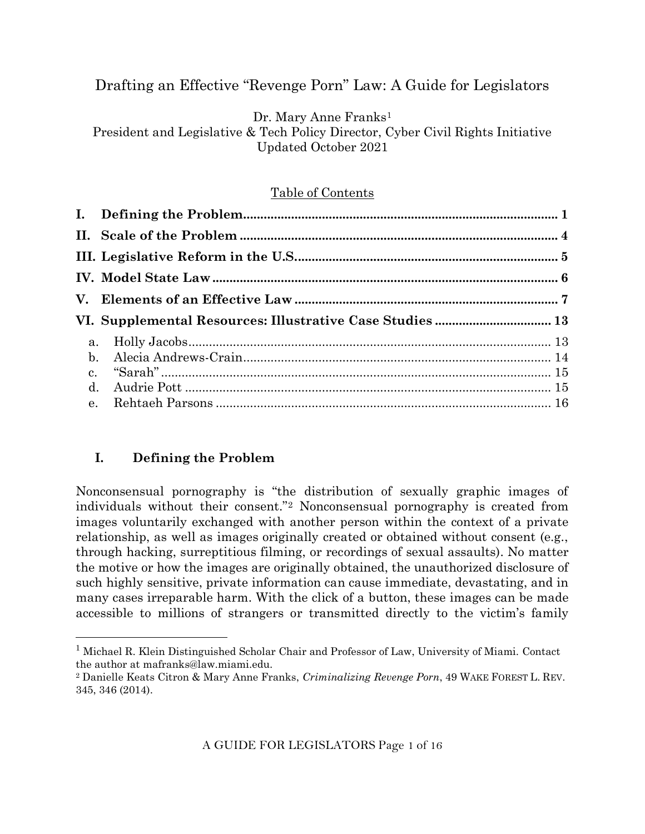# Drafting an Effective "Revenge Porn" Law: A Guide for Legislators

Dr. Mary Anne Franks<sup>1</sup>

President and Legislative & Tech Policy Director, Cyber Civil Rights Initiative Updated October 2021

### Table of Contents

### **I. Defining the Problem**

Nonconsensual pornography is "the distribution of sexually graphic images of individuals without their consent."<sup>2</sup> Nonconsensual pornography is created from images voluntarily exchanged with another person within the context of a private relationship, as well as images originally created or obtained without consent (e.g., through hacking, surreptitious filming, or recordings of sexual assaults). No matter the motive or how the images are originally obtained, the unauthorized disclosure of such highly sensitive, private information can cause immediate, devastating, and in many cases irreparable harm. With the click of a button, these images can be made accessible to millions of strangers or transmitted directly to the victim's family

A GUIDE FOR LEGISLATORS Page 1 of 16

<sup>1</sup> Michael R. Klein Distinguished Scholar Chair and Professor of Law, University of Miami. Contact the author at mafranks@law.miami.edu.

<sup>2</sup> Danielle Keats Citron & Mary Anne Franks, *Criminalizing Revenge Porn*, 49 WAKE FOREST L. REV. 345, 346 (2014).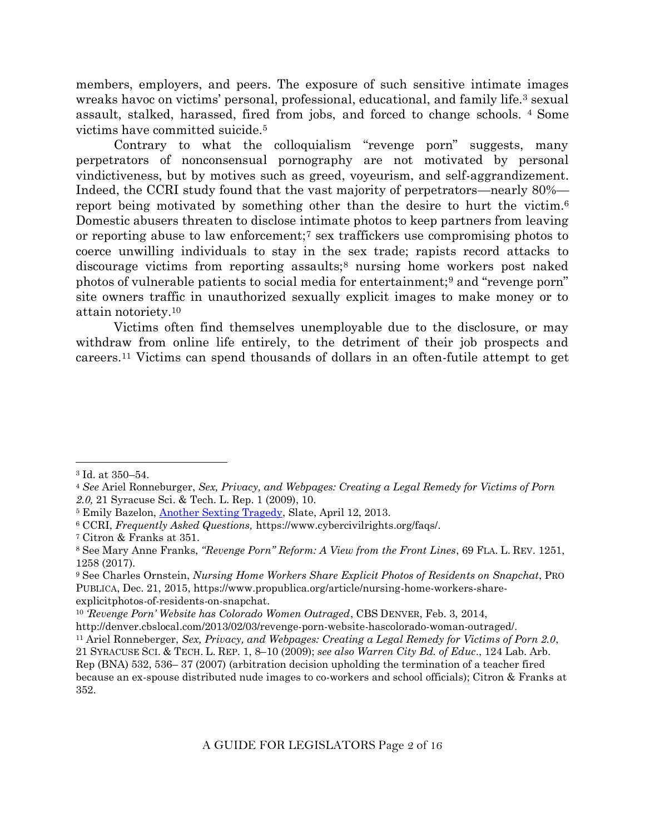members, employers, and peers. The exposure of such sensitive intimate images wreaks havoc on victims' personal, professional, educational, and family life.<sup>3</sup> sexual assault, stalked, harassed, fired from jobs, and forced to change schools. <sup>4</sup> Some victims have committed suicide.<sup>5</sup>

Contrary to what the colloquialism "revenge porn" suggests, many perpetrators of nonconsensual pornography are not motivated by personal vindictiveness, but by motives such as greed, voyeurism, and self-aggrandizement. Indeed, the CCRI study found that the vast majority of perpetrators—nearly 80% report being motivated by something other than the desire to hurt the victim.<sup>6</sup> Domestic abusers threaten to disclose intimate photos to keep partners from leaving or reporting abuse to law enforcement;<sup>7</sup> sex traffickers use compromising photos to coerce unwilling individuals to stay in the sex trade; rapists record attacks to discourage victims from reporting assaults;<sup>8</sup> nursing home workers post naked photos of vulnerable patients to social media for entertainment;<sup>9</sup> and "revenge porn" site owners traffic in unauthorized sexually explicit images to make money or to attain notoriety.<sup>10</sup>

Victims often find themselves unemployable due to the disclosure, or may withdraw from online life entirely, to the detriment of their job prospects and careers.<sup>11</sup> Victims can spend thousands of dollars in an often-futile attempt to get

<sup>3</sup> Id. at 350–54.

<sup>4</sup> *See* Ariel Ronneburger, *Sex, Privacy, and Webpages: Creating a Legal Remedy for Victims of Porn 2.0,* 21 Syracuse Sci. & Tech. L. Rep. 1 (2009), 10.

<sup>5</sup> Emily Bazelon, [Another Sexting Tragedy,](http://www.slate.com/articles/double_x/doublex/2013/04/audrie_pott_and_rehtaeh_parsons_how_should_the_legal_system_treat_nonconsensual.html) Slate, April 12, 2013.

<sup>6</sup> CCRI, *Frequently Asked Questions,* https://www.cybercivilrights.org/faqs/.

<sup>7</sup> Citron & Franks at 351.

<sup>8</sup> See Mary Anne Franks, *"Revenge Porn" Reform: A View from the Front Lines*, 69 FLA. L. REV. 1251, 1258 (2017).

<sup>9</sup> See Charles Ornstein, *Nursing Home Workers Share Explicit Photos of Residents on Snapchat*, PRO PUBLICA, Dec. 21, 2015, https://www.propublica.org/article/nursing-home-workers-shareexplicitphotos-of-residents-on-snapchat.

<sup>10</sup> *'Revenge Porn' Website has Colorado Women Outraged*, CBS DENVER, Feb. 3, 2014,

http://denver.cbslocal.com/2013/02/03/revenge-porn-website-hascolorado-woman-outraged/.

<sup>11</sup> Ariel Ronneberger, *Sex, Privacy, and Webpages: Creating a Legal Remedy for Victims of Porn 2.0*,

<sup>21</sup> SYRACUSE SCI. & TECH. L. REP. 1, 8–10 (2009); *see also Warren City Bd. of Educ*., 124 Lab. Arb.

Rep (BNA) 532, 536– 37 (2007) (arbitration decision upholding the termination of a teacher fired because an ex-spouse distributed nude images to co-workers and school officials); Citron & Franks at 352.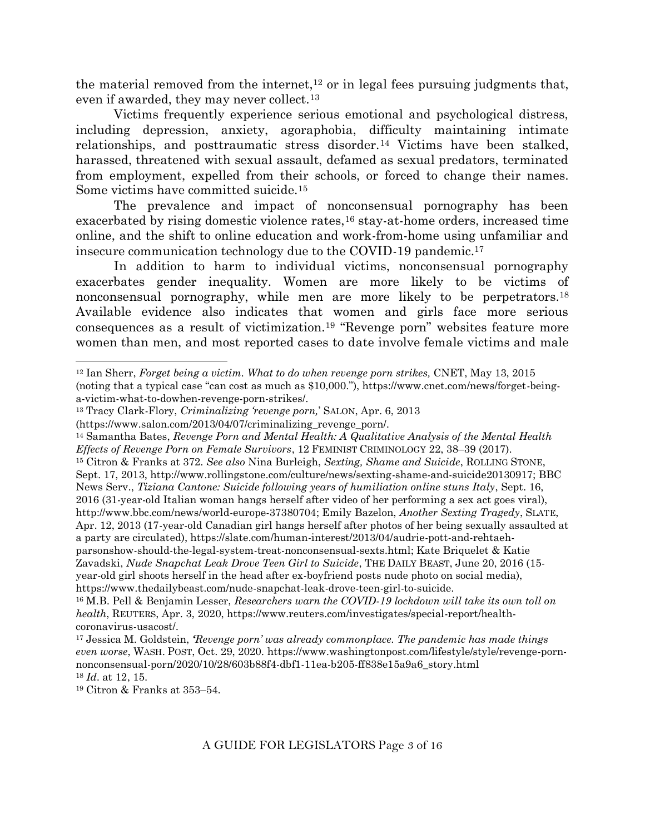the material removed from the internet,<sup>12</sup> or in legal fees pursuing judgments that, even if awarded, they may never collect.<sup>13</sup>

Victims frequently experience serious emotional and psychological distress, including depression, anxiety, agoraphobia, difficulty maintaining intimate relationships, and posttraumatic stress disorder.<sup>14</sup> Victims have been stalked, harassed, threatened with sexual assault, defamed as sexual predators, terminated from employment, expelled from their schools, or forced to change their names. Some victims have committed suicide.<sup>15</sup>

The prevalence and impact of nonconsensual pornography has been exacerbated by rising domestic violence rates,<sup>16</sup> stay-at-home orders, increased time online, and the shift to online education and work-from-home using unfamiliar and insecure communication technology due to the COVID-19 pandemic.<sup>17</sup>

In addition to harm to individual victims, nonconsensual pornography exacerbates gender inequality. Women are more likely to be victims of nonconsensual pornography, while men are more likely to be perpetrators.<sup>18</sup> Available evidence also indicates that women and girls face more serious consequences as a result of victimization.<sup>19</sup> "Revenge porn" websites feature more women than men, and most reported cases to date involve female victims and male

<sup>19</sup> Citron & Franks at 353–54.

<sup>12</sup> Ian Sherr, *Forget being a victim. What to do when revenge porn strikes,* CNET, May 13, 2015 (noting that a typical case "can cost as much as \$10,000."), https://www.cnet.com/news/forget-beinga-victim-what-to-dowhen-revenge-porn-strikes/.

<sup>13</sup> Tracy Clark-Flory, *Criminalizing 'revenge porn,*' SALON, Apr. 6, 2013

<sup>(</sup>https://www.salon.com/2013/04/07/criminalizing\_revenge\_porn/.

<sup>14</sup> Samantha Bates, *Revenge Porn and Mental Health: A Qualitative Analysis of the Mental Health Effects of Revenge Porn on Female Survivors*, 12 FEMINIST CRIMINOLOGY 22, 38–39 (2017). <sup>15</sup> Citron & Franks at 372. *See also* Nina Burleigh, *Sexting, Shame and Suicide*, ROLLING STONE, Sept. 17, 2013, http://www.rollingstone.com/culture/news/sexting-shame-and-suicide20130917; BBC News Serv., *Tiziana Cantone: Suicide following years of humiliation online stuns Italy*, Sept. 16, 2016 (31-year-old Italian woman hangs herself after video of her performing a sex act goes viral), http://www.bbc.com/news/world-europe-37380704; Emily Bazelon, *Another Sexting Tragedy*, SLATE, Apr. 12, 2013 (17-year-old Canadian girl hangs herself after photos of her being sexually assaulted at a party are circulated), https://slate.com/human-interest/2013/04/audrie-pott-and-rehtaehparsonshow-should-the-legal-system-treat-nonconsensual-sexts.html; Kate Briquelet & Katie Zavadski, *Nude Snapchat Leak Drove Teen Girl to Suicide*, THE DAILY BEAST, June 20, 2016 (15 year-old girl shoots herself in the head after ex-boyfriend posts nude photo on social media), https://www.thedailybeast.com/nude-snapchat-leak-drove-teen-girl-to-suicide.

<sup>16</sup> M.B. Pell & Benjamin Lesser, *Researchers warn the COVID-19 lockdown will take its own toll on health*, REUTERS, Apr. 3, 2020, https://www.reuters.com/investigates/special-report/healthcoronavirus-usacost/.

<sup>17</sup> Jessica M. Goldstein, *'Revenge porn' was already commonplace. The pandemic has made things even worse*, WASH. POST, Oct. 29, 2020. https://www.washingtonpost.com/lifestyle/style/revenge-pornnonconsensual-porn/2020/10/28/603b88f4-dbf1-11ea-b205-ff838e15a9a6\_story.html <sup>18</sup> *Id*. at 12, 15.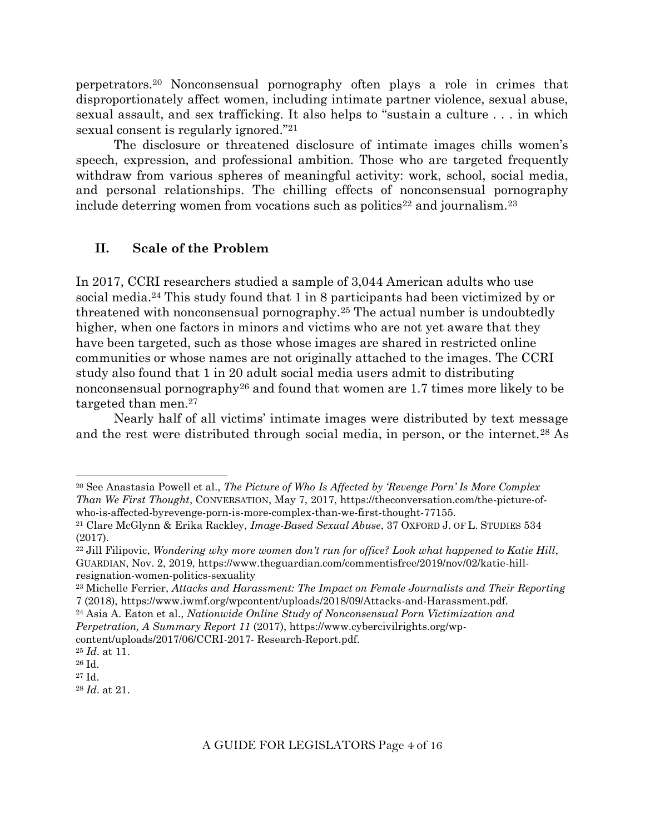perpetrators.<sup>20</sup> Nonconsensual pornography often plays a role in crimes that disproportionately affect women, including intimate partner violence, sexual abuse, sexual assault, and sex trafficking. It also helps to "sustain a culture . . . in which sexual consent is regularly ignored."<sup>21</sup>

The disclosure or threatened disclosure of intimate images chills women's speech, expression, and professional ambition. Those who are targeted frequently withdraw from various spheres of meaningful activity: work, school, social media, and personal relationships. The chilling effects of nonconsensual pornography include deterring women from vocations such as politics<sup>22</sup> and journalism.<sup>23</sup>

#### **II. Scale of the Problem**

In 2017, CCRI researchers studied a sample of 3,044 American adults who use social media.<sup>24</sup> This study found that 1 in 8 participants had been victimized by or threatened with nonconsensual pornography.<sup>25</sup> The actual number is undoubtedly higher, when one factors in minors and victims who are not yet aware that they have been targeted, such as those whose images are shared in restricted online communities or whose names are not originally attached to the images. The CCRI study also found that 1 in 20 adult social media users admit to distributing nonconsensual pornography<sup>26</sup> and found that women are 1.7 times more likely to be targeted than men.<sup>27</sup>

Nearly half of all victims' intimate images were distributed by text message and the rest were distributed through social media, in person, or the internet.<sup>28</sup> As

content/uploads/2017/06/CCRI-2017- Research-Report.pdf.

<sup>20</sup> See Anastasia Powell et al., *The Picture of Who Is Affected by 'Revenge Porn' Is More Complex Than We First Thought*, CONVERSATION, May 7, 2017, https://theconversation.com/the-picture-ofwho-is-affected-byrevenge-porn-is-more-complex-than-we-first-thought-77155.

<sup>21</sup> Clare McGlynn & Erika Rackley, *Image-Based Sexual Abuse*, 37 OXFORD J. OF L. STUDIES 534 (2017).

<sup>22</sup> Jill Filipovic, *Wondering why more women don't run for office? Look what happened to Katie Hill*, GUARDIAN, Nov. 2, 2019, https://www.theguardian.com/commentisfree/2019/nov/02/katie-hillresignation-women-politics-sexuality

<sup>23</sup> Michelle Ferrier, *Attacks and Harassment: The Impact on Female Journalists and Their Reporting* 7 (2018), https://www.iwmf.org/wpcontent/uploads/2018/09/Attacks-and-Harassment.pdf.

<sup>24</sup> Asia A. Eaton et al., *Nationwide Online Study of Nonconsensual Porn Victimization and Perpetration, A Summary Report 11* (2017), https://www.cybercivilrights.org/wp-

<sup>25</sup> *Id*. at 11.

<sup>26</sup> Id.

<sup>27</sup> Id.

<sup>28</sup> *Id*. at 21.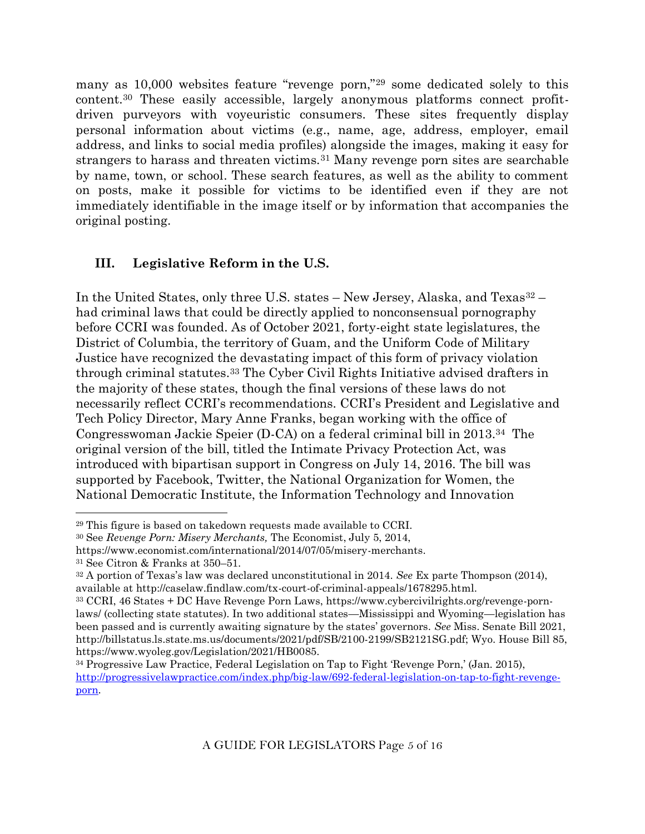many as 10,000 websites feature "revenge porn,"<sup>29</sup> some dedicated solely to this content.<sup>30</sup> These easily accessible, largely anonymous platforms connect profitdriven purveyors with voyeuristic consumers. These sites frequently display personal information about victims (e.g., name, age, address, employer, email address, and links to social media profiles) alongside the images, making it easy for strangers to harass and threaten victims.<sup>31</sup> Many revenge porn sites are searchable by name, town, or school. These search features, as well as the ability to comment on posts, make it possible for victims to be identified even if they are not immediately identifiable in the image itself or by information that accompanies the original posting.

## **III. Legislative Reform in the U.S.**

In the United States, only three U.S. states – New Jersey, Alaska, and Texas<sup>32</sup> – had criminal laws that could be directly applied to nonconsensual pornography before CCRI was founded. As of October 2021, forty-eight state legislatures, the District of Columbia, the territory of Guam, and the Uniform Code of Military Justice have recognized the devastating impact of this form of privacy violation through criminal statutes. <sup>33</sup> The Cyber Civil Rights Initiative advised drafters in the majority of these states, though the final versions of these laws do not necessarily reflect CCRI's recommendations. CCRI's President and Legislative and Tech Policy Director, Mary Anne Franks, began working with the office of Congresswoman Jackie Speier (D-CA) on a federal criminal bill in 2013.34 The original version of the bill, titled the Intimate Privacy Protection Act, was introduced with bipartisan support in Congress on July 14, 2016. The bill was supported by Facebook, Twitter, the National Organization for Women, the National Democratic Institute, the Information Technology and Innovation

<sup>29</sup> This figure is based on takedown requests made available to CCRI.

<sup>30</sup> See *Revenge Porn: Misery Merchants,* The Economist, July 5, 2014,

https://www.economist.com/international/2014/07/05/misery-merchants.

<sup>31</sup> See Citron & Franks at 350–51.

<sup>32</sup> A portion of Texas's law was declared unconstitutional in 2014. *See* Ex parte Thompson (2014), available at http://caselaw.findlaw.com/tx-court-of-criminal-appeals/1678295.html.

<sup>33</sup> CCRI, 46 States + DC Have Revenge Porn Laws, https://www.cybercivilrights.org/revenge-pornlaws/ (collecting state statutes). In two additional states—Mississippi and Wyoming—legislation has been passed and is currently awaiting signature by the states' governors. *See* Miss. Senate Bill 2021, http://billstatus.ls.state.ms.us/documents/2021/pdf/SB/2100-2199/SB2121SG.pdf; Wyo. House Bill 85, https://www.wyoleg.gov/Legislation/2021/HB0085.

<sup>34</sup> Progressive Law Practice, Federal Legislation on Tap to Fight 'Revenge Porn,' (Jan. 2015), [http://progressivelawpractice.com/index.php/big-law/692-federal-legislation-on-tap-to-fight-revenge](http://progressivelawpractice.com/index.php/big-law/692-federal-legislation-on-tap-to-fight-revenge-porn)[porn.](http://progressivelawpractice.com/index.php/big-law/692-federal-legislation-on-tap-to-fight-revenge-porn)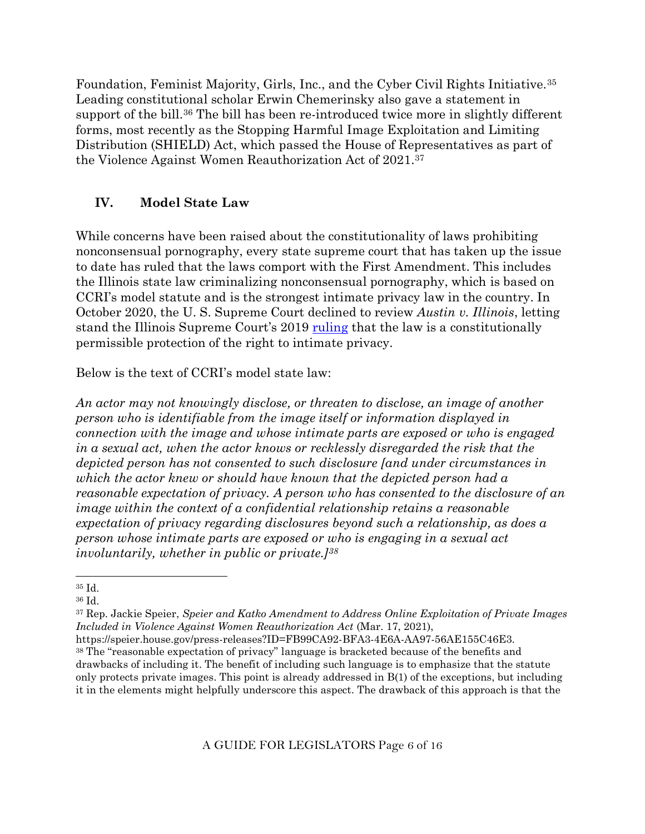Foundation, Feminist Majority, Girls, Inc., and the Cyber Civil Rights Initiative.<sup>35</sup> Leading constitutional scholar Erwin Chemerinsky also gave a statement in support of the bill.<sup>36</sup> The bill has been re-introduced twice more in slightly different forms, most recently as the Stopping Harmful Image Exploitation and Limiting Distribution (SHIELD) Act, which passed the House of Representatives as part of the Violence Against Women Reauthorization Act of 2021.<sup>37</sup>

## **IV. Model State Law**

While concerns have been raised about the constitutionality of laws prohibiting nonconsensual pornography, every state supreme court that has taken up the issue to date has ruled that the laws comport with the First Amendment. This includes the Illinois state law criminalizing nonconsensual pornography, which is based on CCRI's model statute and is the strongest intimate privacy law in the country. In October 2020, the U. S. Supreme Court declined to review *Austin v. Illinois*, letting stand the Illinois Supreme Court's 2019 [ruling](https://courts.illinois.gov/Opinions/SupremeCourt/2019/123910.pdf) that the law is a constitutionally permissible protection of the right to intimate privacy.

Below is the text of CCRI's model state law:

*An actor may not knowingly disclose, or threaten to disclose, an image of another person who is identifiable from the image itself or information displayed in connection with the image and whose intimate parts are exposed or who is engaged in a sexual act, when the actor knows or recklessly disregarded the risk that the depicted person has not consented to such disclosure [and under circumstances in which the actor knew or should have known that the depicted person had a reasonable expectation of privacy. A person who has consented to the disclosure of an image within the context of a confidential relationship retains a reasonable expectation of privacy regarding disclosures beyond such a relationship, as does a person whose intimate parts are exposed or who is engaging in a sexual act involuntarily, whether in public or private.]<sup>38</sup>*

A GUIDE FOR LEGISLATORS Page 6 of 16

<sup>35</sup> Id.

<sup>36</sup> Id.

<sup>37</sup> Rep. Jackie Speier, *Speier and Katko Amendment to Address Online Exploitation of Private Images Included in Violence Against Women Reauthorization Act* (Mar. 17, 2021),

https://speier.house.gov/press-releases?ID=FB99CA92-BFA3-4E6A-AA97-56AE155C46E3. <sup>38</sup> The "reasonable expectation of privacy" language is bracketed because of the benefits and drawbacks of including it. The benefit of including such language is to emphasize that the statute only protects private images. This point is already addressed in B(1) of the exceptions, but including it in the elements might helpfully underscore this aspect. The drawback of this approach is that the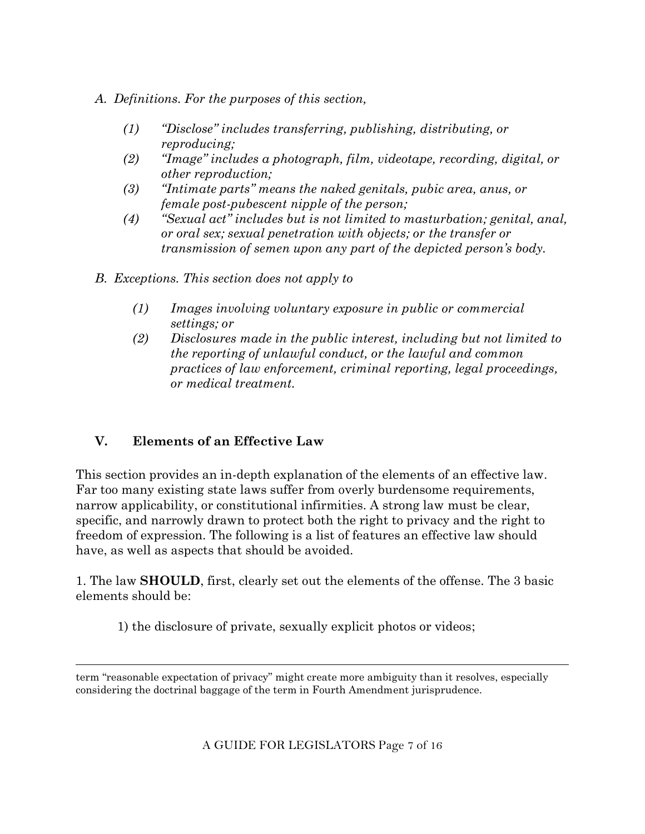- *A. Definitions. For the purposes of this section,*
	- *(1) "Disclose" includes transferring, publishing, distributing, or reproducing;*
	- *(2) "Image" includes a photograph, film, videotape, recording, digital, or other reproduction;*
	- *(3) "Intimate parts" means the naked genitals, pubic area, anus, or female post-pubescent nipple of the person;*
	- *(4) "Sexual act" includes but is not limited to masturbation; genital, anal, or oral sex; sexual penetration with objects; or the transfer or transmission of semen upon any part of the depicted person's body.*
- *B. Exceptions. This section does not apply to*
	- *(1) Images involving voluntary exposure in public or commercial settings; or*
	- *(2) Disclosures made in the public interest, including but not limited to the reporting of unlawful conduct, or the lawful and common practices of law enforcement, criminal reporting, legal proceedings, or medical treatment.*

## **V. Elements of an Effective Law**

This section provides an in-depth explanation of the elements of an effective law. Far too many existing state laws suffer from overly burdensome requirements, narrow applicability, or constitutional infirmities. A strong law must be clear, specific, and narrowly drawn to protect both the right to privacy and the right to freedom of expression. The following is a list of features an effective law should have, as well as aspects that should be avoided.

1. The law **SHOULD**, first, clearly set out the elements of the offense. The 3 basic elements should be:

1) the disclosure of private, sexually explicit photos or videos;

term "reasonable expectation of privacy" might create more ambiguity than it resolves, especially considering the doctrinal baggage of the term in Fourth Amendment jurisprudence.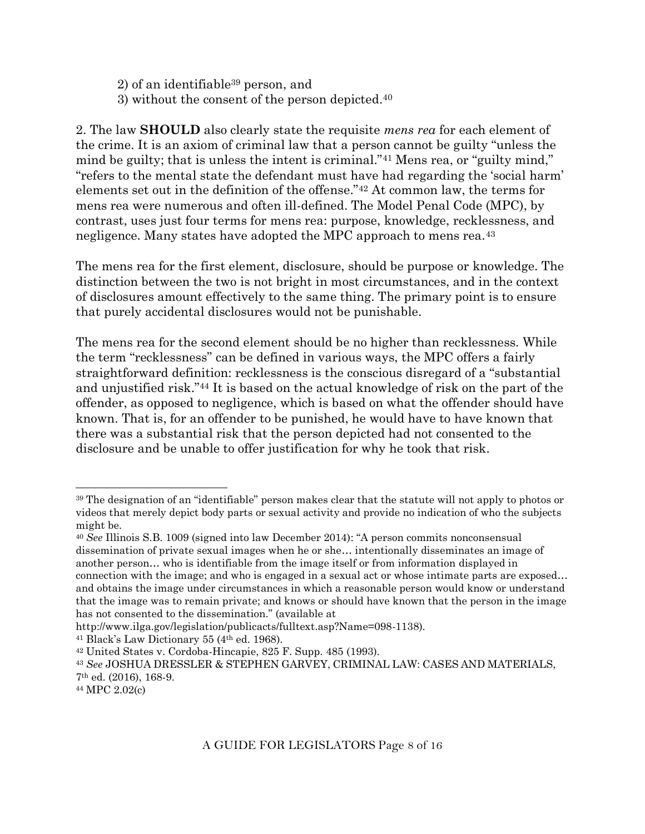2) of an identifiable<sup>39</sup> person, and

3) without the consent of the person depicted.<sup>40</sup>

2. The law **SHOULD** also clearly state the requisite *mens rea* for each element of the crime. It is an axiom of criminal law that a person cannot be guilty "unless the mind be guilty; that is unless the intent is criminal."<sup>41</sup> Mens rea, or "guilty mind," "refers to the mental state the defendant must have had regarding the 'social harm' elements set out in the definition of the offense."<sup>42</sup> At common law, the terms for mens rea were numerous and often ill-defined. The Model Penal Code (MPC), by contrast, uses just four terms for mens rea: purpose, knowledge, recklessness, and negligence. Many states have adopted the MPC approach to mens rea.<sup>43</sup>

The mens rea for the first element, disclosure, should be purpose or knowledge. The distinction between the two is not bright in most circumstances, and in the context of disclosures amount effectively to the same thing. The primary point is to ensure that purely accidental disclosures would not be punishable.

The mens rea for the second element should be no higher than recklessness. While the term "recklessness" can be defined in various ways, the MPC offers a fairly straightforward definition: recklessness is the conscious disregard of a "substantial and unjustified risk."<sup>44</sup> It is based on the actual knowledge of risk on the part of the offender, as opposed to negligence, which is based on what the offender should have known. That is, for an offender to be punished, he would have to have known that there was a substantial risk that the person depicted had not consented to the disclosure and be unable to offer justification for why he took that risk.

http://www.ilga.gov/legislation/publicacts/fulltext.asp?Name=098-1138).

<sup>41</sup> Black's Law Dictionary 55 (4th ed. 1968).

<sup>39</sup> The designation of an "identifiable" person makes clear that the statute will not apply to photos or videos that merely depict body parts or sexual activity and provide no indication of who the subjects might be.

<sup>40</sup> *See* Illinois S.B. 1009 (signed into law December 2014): "A person commits nonconsensual dissemination of private sexual images when he or she… intentionally disseminates an image of another person… who is identifiable from the image itself or from information displayed in connection with the image; and who is engaged in a sexual act or whose intimate parts are exposed… and obtains the image under circumstances in which a reasonable person would know or understand that the image was to remain private; and knows or should have known that the person in the image has not consented to the dissemination." (available at

<sup>42</sup> United States v. Cordoba-Hincapie, 825 F. Supp. 485 (1993).

<sup>43</sup> *See* JOSHUA DRESSLER & STEPHEN GARVEY, CRIMINAL LAW: CASES AND MATERIALS, 7th ed. (2016), 168-9.

<sup>44</sup> MPC 2.02(c)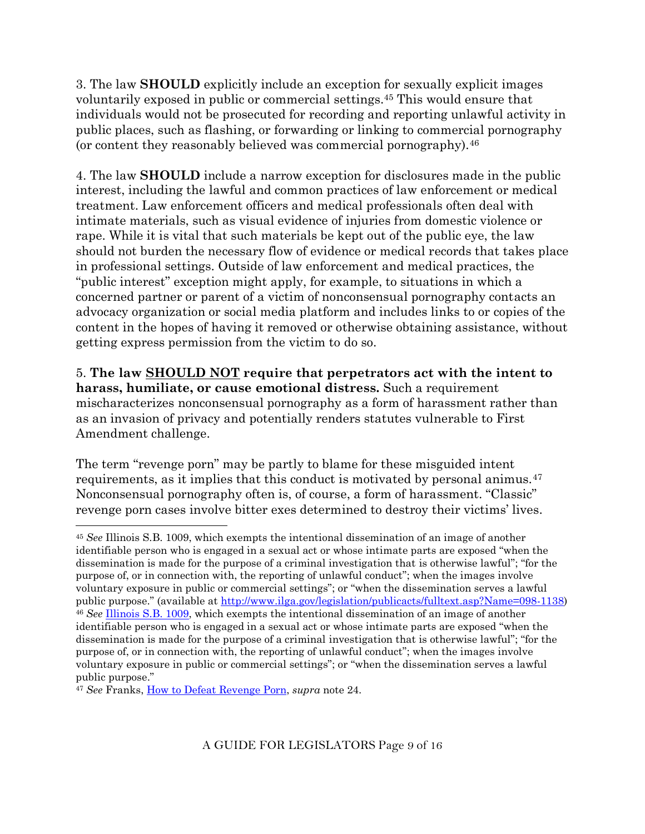3. The law **SHOULD** explicitly include an exception for sexually explicit images voluntarily exposed in public or commercial settings.<sup>45</sup> This would ensure that individuals would not be prosecuted for recording and reporting unlawful activity in public places, such as flashing, or forwarding or linking to commercial pornography (or content they reasonably believed was commercial pornography).<sup>46</sup>

4. The law **SHOULD** include a narrow exception for disclosures made in the public interest, including the lawful and common practices of law enforcement or medical treatment. Law enforcement officers and medical professionals often deal with intimate materials, such as visual evidence of injuries from domestic violence or rape. While it is vital that such materials be kept out of the public eye, the law should not burden the necessary flow of evidence or medical records that takes place in professional settings. Outside of law enforcement and medical practices, the "public interest" exception might apply, for example, to situations in which a concerned partner or parent of a victim of nonconsensual pornography contacts an advocacy organization or social media platform and includes links to or copies of the content in the hopes of having it removed or otherwise obtaining assistance, without getting express permission from the victim to do so.

5. **The law SHOULD NOT require that perpetrators act with the intent to harass, humiliate, or cause emotional distress.** Such a requirement mischaracterizes nonconsensual pornography as a form of harassment rather than as an invasion of privacy and potentially renders statutes vulnerable to First Amendment challenge.

The term "revenge porn" may be partly to blame for these misguided intent requirements, as it implies that this conduct is motivated by personal animus.<sup>47</sup> Nonconsensual pornography often is, of course, a form of harassment. "Classic" revenge porn cases involve bitter exes determined to destroy their victims' lives.

<sup>45</sup> *See* Illinois S.B. 1009, which exempts the intentional dissemination of an image of another identifiable person who is engaged in a sexual act or whose intimate parts are exposed "when the dissemination is made for the purpose of a criminal investigation that is otherwise lawful"; "for the purpose of, or in connection with, the reporting of unlawful conduct"; when the images involve voluntary exposure in public or commercial settings"; or "when the dissemination serves a lawful public purpose." (available at [http://www.ilga.gov/legislation/publicacts/fulltext.asp?Name=098-1138\)](http://www.ilga.gov/legislation/publicacts/fulltext.asp?Name=098-1138) <sup>46</sup> *See* [Illinois S.B. 1009,](http://www.ilga.gov/legislation/publicacts/fulltext.asp?Name=098-1138) which exempts the intentional dissemination of an image of another identifiable person who is engaged in a sexual act or whose intimate parts are exposed "when the dissemination is made for the purpose of a criminal investigation that is otherwise lawful"; "for the purpose of, or in connection with, the reporting of unlawful conduct"; when the images involve voluntary exposure in public or commercial settings"; or "when the dissemination serves a lawful public purpose."

<sup>47</sup> *See* Franks, [How to Defeat Revenge Porn,](http://www.huffingtonpost.com/mary-anne-franks/how-to-defeat-revenge-porn_b_7624900.html) *supra* note 24.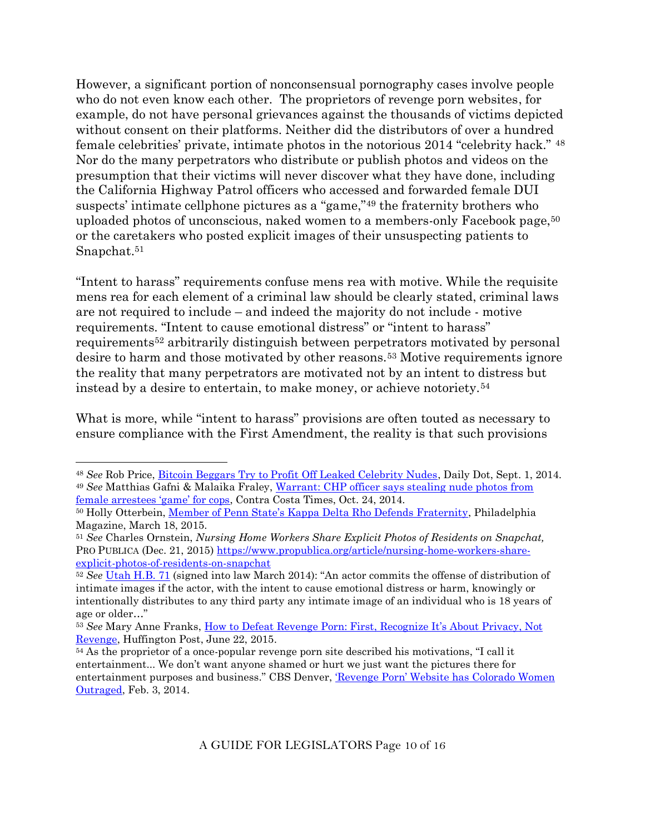However, a significant portion of nonconsensual pornography cases involve people who do not even know each other. The proprietors of revenge porn websites, for example, do not have personal grievances against the thousands of victims depicted without consent on their platforms. Neither did the distributors of over a hundred female celebrities' private, intimate photos in the notorious 2014 "celebrity hack." <sup>48</sup> Nor do the many perpetrators who distribute or publish photos and videos on the presumption that their victims will never discover what they have done, including the California Highway Patrol officers who accessed and forwarded female DUI suspects' intimate cellphone pictures as a "game,"<sup>49</sup> the fraternity brothers who uploaded photos of unconscious, naked women to a members-only Facebook page,<sup>50</sup> or the caretakers who posted explicit images of their unsuspecting patients to Snapchat.<sup>51</sup>

"Intent to harass" requirements confuse mens rea with motive. While the requisite mens rea for each element of a criminal law should be clearly stated, criminal laws are not required to include – and indeed the majority do not include - motive requirements. "Intent to cause emotional distress" or "intent to harass" requirements<sup>52</sup> arbitrarily distinguish between perpetrators motivated by personal desire to harm and those motivated by other reasons.<sup>53</sup> Motive requirements ignore the reality that many perpetrators are motivated not by an intent to distress but instead by a desire to entertain, to make money, or achieve notoriety.<sup>54</sup>

What is more, while "intent to harass" provisions are often touted as necessary to ensure compliance with the First Amendment, the reality is that such provisions

<sup>48</sup> *See* Rob Price, [Bitcoin Beggars Try to Profit Off Leaked Celebrity Nudes,](http://www.dailydot.com/crime/celebgate-jennifer-lawrence-nude-leakers-bitcoin/) Daily Dot, Sept. 1, 2014. <sup>49</sup> *See* Matthias Gafni & Malaika Fraley, [Warrant: CHP officer says stealing nude photos from](http://www.contracostatimes.com/my-town/ci_26793090/warrant-chp-officer-says-stealing-nude-photos-from)  [female arrestees 'game' for cops](http://www.contracostatimes.com/my-town/ci_26793090/warrant-chp-officer-says-stealing-nude-photos-from), Contra Costa Times, Oct. 24, 2014.

<sup>&</sup>lt;sup>50</sup> Holly Otterbein, [Member of Penn State's Kappa Delta Rho Defends Fraternity](http://www.phillymag.com/news/2015/03/18/member-of-penn-states-kappa-delta-rho-defends-fraternity/), Philadelphia Magazine, March 18, 2015.

<sup>51</sup> *See* Charles Ornstein, *Nursing Home Workers Share Explicit Photos of Residents on Snapchat,* PRO PUBLICA (Dec. 21, 2015) [https://www.propublica.org/article/nursing-home-workers-share](https://www.propublica.org/article/nursing-home-workers-share-explicit-photos-of-residents-on-snapchat)[explicit-photos-of-residents-on-snapchat](https://www.propublica.org/article/nursing-home-workers-share-explicit-photos-of-residents-on-snapchat)

<sup>52</sup> *See* [Utah H.B. 71](http://le.utah.gov/~2014/bills/static/HB0071.html) (signed into law March 2014): "An actor commits the offense of distribution of intimate images if the actor, with the intent to cause emotional distress or harm, knowingly or intentionally distributes to any third party any intimate image of an individual who is 18 years of age or older…"

<sup>53</sup> *See* Mary Anne Franks, [How to Defeat Revenge Porn: First,](http://www.huffingtonpost.com/mary-anne-franks/how-to-defeat-revenge-porn_b_7624900.html) Recognize It's About Privacy, Not [Revenge,](http://www.huffingtonpost.com/mary-anne-franks/how-to-defeat-revenge-porn_b_7624900.html) Huffington Post, June 22, 2015.

<sup>54</sup> As the proprietor of a once-popular revenge porn site described his motivations, "I call it entertainment... We don't want anyone shamed or hurt we just want the pictures there for entertainment purposes and business." CBS Denver, ['Revenge Porn' Website has Colorado Women](http://denver.cbslocal.com/2013/02/03/revenge-porn-website-has-colorado-woman-outraged/)  [Outraged,](http://denver.cbslocal.com/2013/02/03/revenge-porn-website-has-colorado-woman-outraged/) Feb. 3, 2014.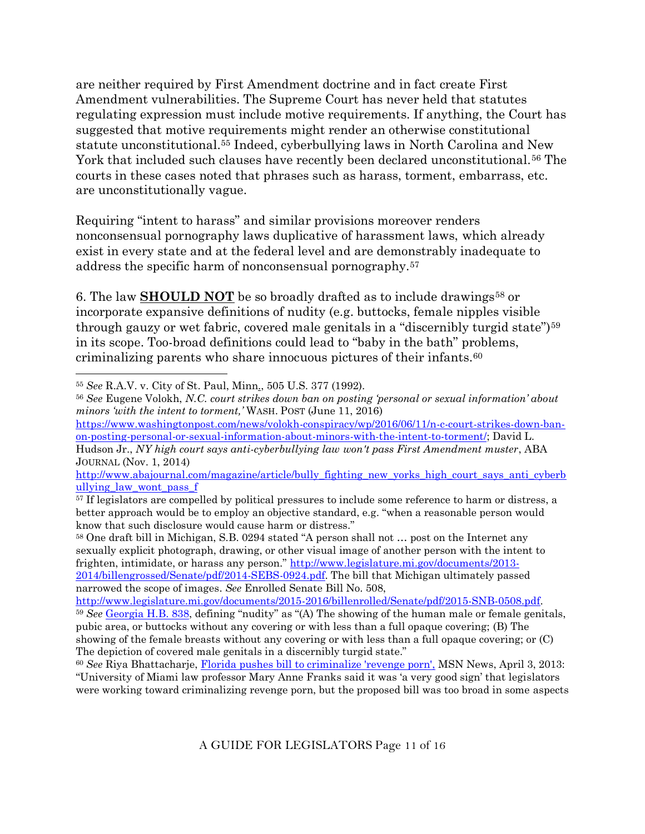are neither required by First Amendment doctrine and in fact create First Amendment vulnerabilities. The Supreme Court has never held that statutes regulating expression must include motive requirements. If anything, the Court has suggested that motive requirements might render an otherwise constitutional statute unconstitutional.<sup>55</sup> Indeed, cyberbullying laws in North Carolina and New York that included such clauses have recently been declared unconstitutional.<sup>56</sup> The courts in these cases noted that phrases such as harass, torment, embarrass, etc. are unconstitutionally vague.

Requiring "intent to harass" and similar provisions moreover renders nonconsensual pornography laws duplicative of harassment laws, which already exist in every state and at the federal level and are demonstrably inadequate to address the specific harm of nonconsensual pornography.<sup>57</sup>

6. The law **SHOULD NOT** be so broadly drafted as to include drawings<sup>58</sup> or incorporate expansive definitions of nudity (e.g. buttocks, female nipples visible through gauzy or wet fabric, covered male genitals in a "discernibly turgid state")<sup>59</sup> in its scope. Too-broad definitions could lead to "baby in the bath" problems, criminalizing parents who share innocuous pictures of their infants.<sup>60</sup>

[https://www.washingtonpost.com/news/volokh-conspiracy/wp/2016/06/11/n-c-court-strikes-down-ban](https://webmail.law.miami.edu/owa/redir.aspx?C=nIn6CsiWakaQHkL76DSND__urmXf2tMIk8GetuMyQR_3v9QUbAOcDG5UT26VZCE-iN7mwqLOICM.&URL=https%3a%2f%2fwww.washingtonpost.com%2fnews%2fvolokh-conspiracy%2fwp%2f2016%2f06%2f11%2fn-c-court-strikes-down-ban-on-posting-personal-or-sexual-information-about-minors-with-the-intent-to-torment%2f)[on-posting-personal-or-sexual-information-about-minors-with-the-intent-to-torment/;](https://webmail.law.miami.edu/owa/redir.aspx?C=nIn6CsiWakaQHkL76DSND__urmXf2tMIk8GetuMyQR_3v9QUbAOcDG5UT26VZCE-iN7mwqLOICM.&URL=https%3a%2f%2fwww.washingtonpost.com%2fnews%2fvolokh-conspiracy%2fwp%2f2016%2f06%2f11%2fn-c-court-strikes-down-ban-on-posting-personal-or-sexual-information-about-minors-with-the-intent-to-torment%2f) David L.

[http://www.abajournal.com/magazine/article/bully\\_fighting\\_new\\_yorks\\_high\\_court\\_says\\_anti\\_cyberb](https://webmail.law.miami.edu/owa/redir.aspx?C=nIn6CsiWakaQHkL76DSND__urmXf2tMIk8GetuMyQR_3v9QUbAOcDG5UT26VZCE-iN7mwqLOICM.&URL=http%3a%2f%2fwww.abajournal.com%2fmagazine%2farticle%2fbully_fighting_new_yorks_high_court_says_anti_cyberbullying_law_wont_pass_f) ullying law wont pass f

<sup>58</sup> One draft bill in Michigan, S.B. 0294 stated "A person shall not … post on the Internet any sexually explicit photograph, drawing, or other visual image of another person with the intent to frighten, intimidate, or harass any person." [http://www.legislature.mi.gov/documents/2013-](http://www.legislature.mi.gov/documents/2013-2014/billengrossed/Senate/pdf/2014-SEBS-0924.pdf) [2014/billengrossed/Senate/pdf/2014-SEBS-0924.pdf.](http://www.legislature.mi.gov/documents/2013-2014/billengrossed/Senate/pdf/2014-SEBS-0924.pdf) The bill that Michigan ultimately passed narrowed the scope of images. *See* Enrolled Senate Bill No. 508,

<sup>55</sup> *See* R.A.V. v. City of St. Paul, Minn., 505 U.S. 377 (1992).

<sup>56</sup> *See* Eugene Volokh, *N.C. court strikes down ban on posting 'personal or sexual information' about minors 'with the intent to torment,'* WASH. POST (June 11, 2016)

Hudson Jr., *NY high court says anti-cyberbullying law won't pass First Amendment muster*, ABA JOURNAL (Nov. 1, 2014)

<sup>&</sup>lt;sup>57</sup> If legislators are compelled by political pressures to include some reference to harm or distress, a better approach would be to employ an objective standard, e.g. "when a reasonable person would know that such disclosure would cause harm or distress."

[http://www.legislature.mi.gov/documents/2015-2016/billenrolled/Senate/pdf/2015-SNB-0508.pdf.](http://www.legislature.mi.gov/documents/2015-2016/billenrolled/Senate/pdf/2015-SNB-0508.pdf) <sup>59</sup> *See* [Georgia H.B. 838](http://www.legis.ga.gov/Legislation/en-US/display/20132014/HB/838), defining "nudity" as "(A) The showing of the human male or female genitals, pubic area, or buttocks without any covering or with less than a full opaque covering; (B) The showing of the female breasts without any covering or with less than a full opaque covering; or (C) The depiction of covered male genitals in a discernibly turgid state."

<sup>60</sup> *See* Riya Bhattacharje, [Florida pushes bill to criminalize 'revenge porn',](http://news.msn.com/us/florida-pushes-bill-to-criminalize-revenge-porn) MSN News, April 3, 2013: "University of Miami law professor Mary Anne Franks said it was 'a very good sign' that legislators were working toward criminalizing revenge porn, but the proposed bill was too broad in some aspects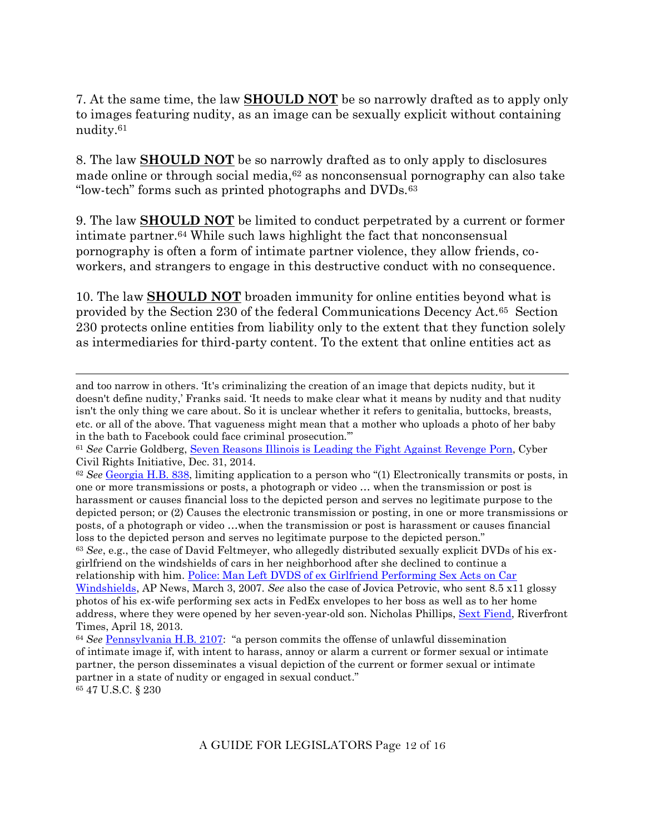7. At the same time, the law **SHOULD NOT** be so narrowly drafted as to apply only to images featuring nudity, as an image can be sexually explicit without containing nudity.<sup>61</sup>

8. The law **SHOULD NOT** be so narrowly drafted as to only apply to disclosures made online or through social media,<sup>62</sup> as nonconsensual pornography can also take "low-tech" forms such as printed photographs and DVDs.<sup>63</sup>

9. The law **SHOULD NOT** be limited to conduct perpetrated by a current or former intimate partner.<sup>64</sup> While such laws highlight the fact that nonconsensual pornography is often a form of intimate partner violence, they allow friends, coworkers, and strangers to engage in this destructive conduct with no consequence.

10. The law **SHOULD NOT** broaden immunity for online entities beyond what is provided by the Section 230 of the federal Communications Decency Act.65 Section 230 protects online entities from liability only to the extent that they function solely as intermediaries for third-party content. To the extent that online entities act as

and too narrow in others. 'It's criminalizing the creation of an image that depicts nudity, but it doesn't define nudity,' Franks said. 'It needs to make clear what it means by nudity and that nudity isn't the only thing we care about. So it is unclear whether it refers to genitalia, buttocks, breasts, etc. or all of the above. That vagueness might mean that a mother who uploads a photo of her baby in the bath to Facebook could face criminal prosecution.'"

<sup>61</sup> *See* Carrie Goldberg, [Seven Reasons Illinois is Leading the Fight Against Revenge](http://www.cybercivilrights.org/seven_reasons_illinois_is_leading_the_fight_against_revenge_porn) Porn, Cyber Civil Rights Initiative, Dec. 31, 2014.

<sup>62</sup> *See* [Georgia H.B. 838](http://www.legis.ga.gov/Legislation/en-US/display/20132014/HB/838), limiting application to a person who "(1) Electronically transmits or posts, in one or more transmissions or posts, a photograph or video … when the transmission or post is harassment or causes financial loss to the depicted person and serves no legitimate purpose to the depicted person; or (2) Causes the electronic transmission or posting, in one or more transmissions or posts, of a photograph or video …when the transmission or post is harassment or causes financial loss to the depicted person and serves no legitimate purpose to the depicted person." <sup>63</sup> *See*, e.g., the case of David Feltmeyer, who allegedly distributed sexually explicit DVDs of his exgirlfriend on the windshields of cars in her neighborhood after she declined to continue a relationship with him. [Police: Man Left DVDS of ex Girlfriend Performing Sex Acts on Car](http://www.foxnews.com/story/2007/03/03/police-man-left-dvds-ex-girlfriend-performing-sex-acts-on-car-windshields/)  [Windshields,](http://www.foxnews.com/story/2007/03/03/police-man-left-dvds-ex-girlfriend-performing-sex-acts-on-car-windshields/) AP News, March 3, 2007. *See* also the case of Jovica Petrovic, who sent 8.5 x11 glossy photos of his ex-wife performing sex acts in FedEx envelopes to her boss as well as to her home

address, where they were opened by her seven-year-old son. Nicholas Phillips, [Sext Fiend,](http://www.riverfronttimes.com/2013-04-18/news/sext-fiend/full/) Riverfront Times, April 18, 2013.

<sup>64</sup> *See* [Pennsylvania H.B. 2107](http://www.legis.state.pa.us/CFDOCS/Legis/PN/Public/btCheck.cfm?txtType=PDF&sessYr=2013&sessInd=0&billBody=H&billTyp=B&billNbr=2107&pn=3866): "a person commits the offense of unlawful dissemination of intimate image if, with intent to harass, annoy or alarm a current or former sexual or intimate partner, the person disseminates a visual depiction of the current or former sexual or intimate partner in a state of nudity or engaged in sexual conduct." <sup>65</sup> 47 U.S.C. § 230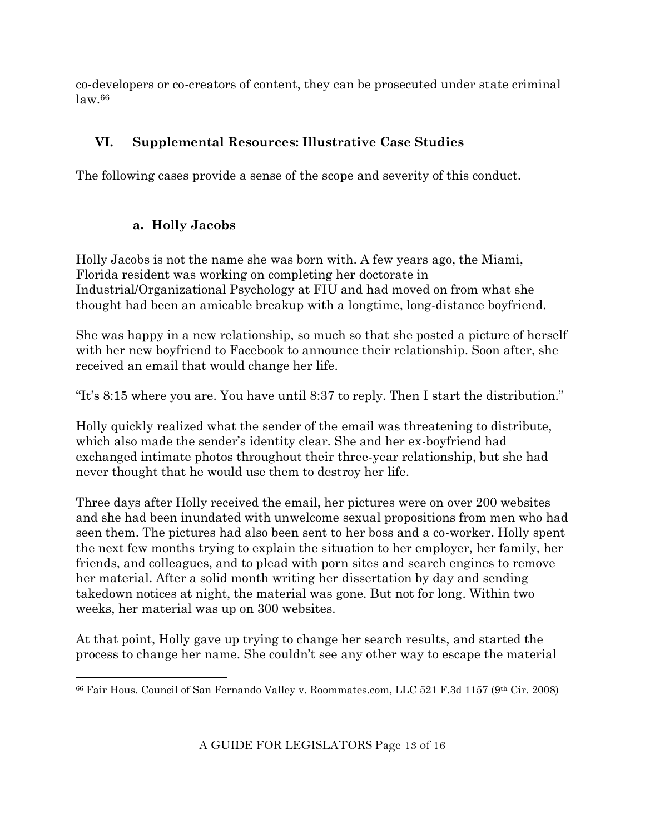co-developers or co-creators of content, they can be prosecuted under state criminal law.<sup>66</sup>

# **VI. Supplemental Resources: Illustrative Case Studies**

The following cases provide a sense of the scope and severity of this conduct.

# **a. Holly Jacobs**

Holly Jacobs is not the name she was born with. A few years ago, the Miami, Florida resident was working on completing her doctorate in Industrial/Organizational Psychology at FIU and had moved on from what she thought had been an amicable breakup with a longtime, long-distance boyfriend.

She was happy in a new relationship, so much so that she posted a picture of herself with her new boyfriend to Facebook to announce their relationship. Soon after, she received an email that would change her life.

"It's 8:15 where you are. You have until 8:37 to reply. Then I start the distribution."

Holly quickly realized what the sender of the email was threatening to distribute, which also made the sender's identity clear. She and her ex-boyfriend had exchanged intimate photos throughout their three-year relationship, but she had never thought that he would use them to destroy her life.

Three days after Holly received the email, her pictures were on over 200 websites and she had been inundated with unwelcome sexual propositions from men who had seen them. The pictures had also been sent to her boss and a co-worker. Holly spent the next few months trying to explain the situation to her employer, her family, her friends, and colleagues, and to plead with porn sites and search engines to remove her material. After a solid month writing her dissertation by day and sending takedown notices at night, the material was gone. But not for long. Within two weeks, her material was up on 300 websites.

At that point, Holly gave up trying to change her search results, and started the process to change her name. She couldn't see any other way to escape the material

<sup>66</sup> Fair Hous. Council of San Fernando Valley v. Roommates.com, LLC 521 F.3d 1157 (9th Cir. 2008)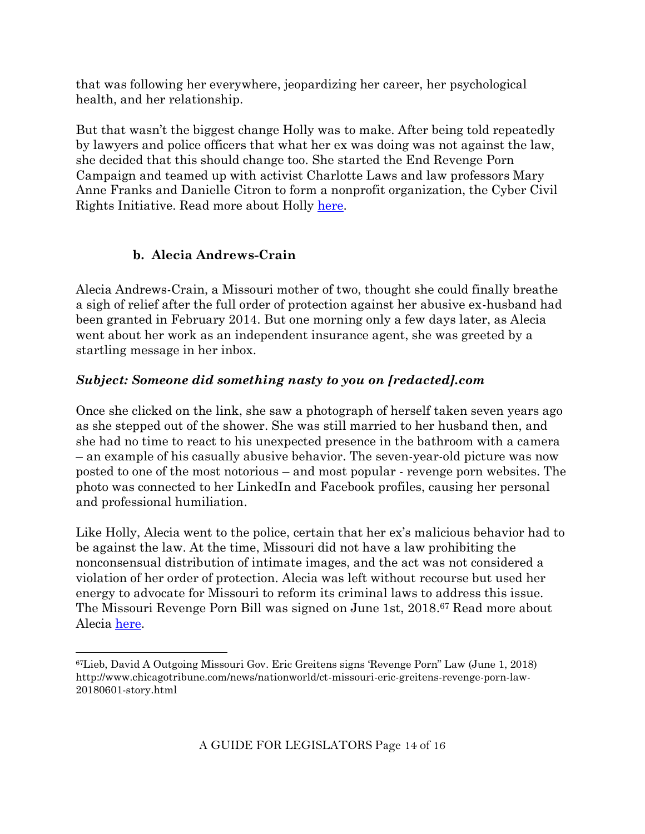that was following her everywhere, jeopardizing her career, her psychological health, and her relationship.

But that wasn't the biggest change Holly was to make. After being told repeatedly by lawyers and police officers that what her ex was doing was not against the law, she decided that this should change too. She started the End Revenge Porn Campaign and teamed up with activist Charlotte Laws and law professors Mary Anne Franks and Danielle Citron to form a nonprofit organization, the Cyber Civil Rights Initiative. Read more about Holly [here.](https://www.pointsoflight.org/awards/after-experiencing-online-abuse-she-empowers-victims-to-take-a-stand/)

## **b. Alecia Andrews-Crain**

Alecia Andrews-Crain, a Missouri mother of two, thought she could finally breathe a sigh of relief after the full order of protection against her abusive ex-husband had been granted in February 2014. But one morning only a few days later, as Alecia went about her work as an independent insurance agent, she was greeted by a startling message in her inbox.

## *Subject: Someone did something nasty to you on [redacted].com*

Once she clicked on the link, she saw a photograph of herself taken seven years ago as she stepped out of the shower. She was still married to her husband then, and she had no time to react to his unexpected presence in the bathroom with a camera – an example of his casually abusive behavior. The seven-year-old picture was now posted to one of the most notorious – and most popular - revenge porn websites. The photo was connected to her LinkedIn and Facebook profiles, causing her personal and professional humiliation.

Like Holly, Alecia went to the police, certain that her ex's malicious behavior had to be against the law. At the time, Missouri did not have a law prohibiting the nonconsensual distribution of intimate images, and the act was not considered a violation of her order of protection. Alecia was left without recourse but used her energy to advocate for Missouri to reform its criminal laws to address this issue. The Missouri Revenge Porn Bill was signed on June 1st, 2018. <sup>67</sup> Read more about Alecia [here.](http://www.kmbc.com/news/woman-fights-for-revenge-porn-laws-after-ex-posted-nude-photo-online/25649360)

<sup>67</sup>Lieb, David A Outgoing Missouri Gov. Eric Greitens signs 'Revenge Porn" Law (June 1, 2018) http://www.chicagotribune.com/news/nationworld/ct-missouri-eric-greitens-revenge-porn-law-20180601-story.html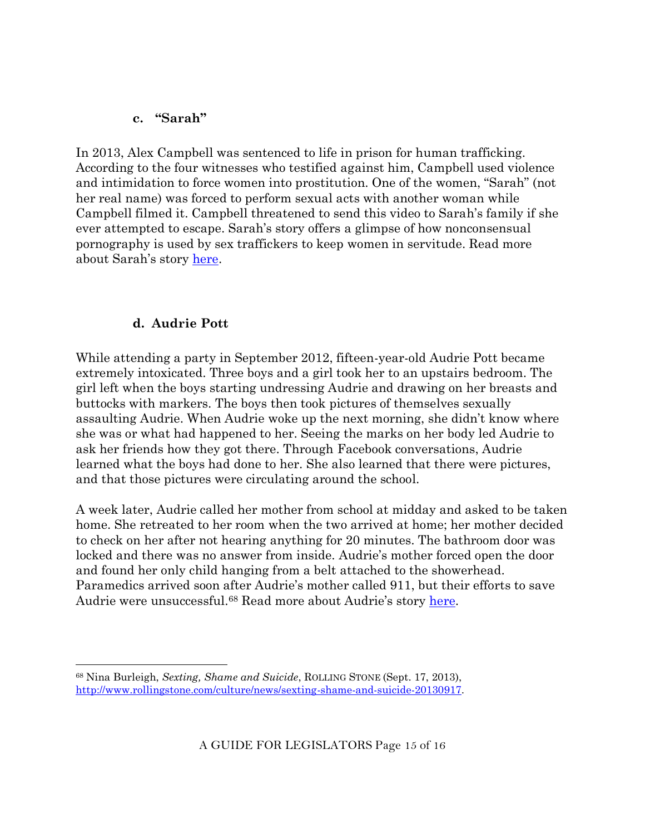#### **c. "Sarah"**

In 2013, Alex Campbell was sentenced to life in prison for human trafficking. According to the four witnesses who testified against him, Campbell used violence and intimidation to force women into prostitution. One of the women, "Sarah" (not her real name) was forced to perform sexual acts with another woman while Campbell filmed it. Campbell threatened to send this video to Sarah's family if she ever attempted to escape. Sarah's story offers a glimpse of how nonconsensual pornography is used by sex traffickers to keep women in servitude. Read more about Sarah's story [here.](http://www.nbcchicago.com/investigations/human-trafficking-alex-campbell-192415731.html)

### **d. Audrie Pott**

While attending a party in September 2012, fifteen-year-old Audrie Pott became extremely intoxicated. Three boys and a girl took her to an upstairs bedroom. The girl left when the boys starting undressing Audrie and drawing on her breasts and buttocks with markers. The boys then took pictures of themselves sexually assaulting Audrie. When Audrie woke up the next morning, she didn't know where she was or what had happened to her. Seeing the marks on her body led Audrie to ask her friends how they got there. Through Facebook conversations, Audrie learned what the boys had done to her. She also learned that there were pictures, and that those pictures were circulating around the school.

A week later, Audrie called her mother from school at midday and asked to be taken home. She retreated to her room when the two arrived at home; her mother decided to check on her after not hearing anything for 20 minutes. The bathroom door was locked and there was no answer from inside. Audrie's mother forced open the door and found her only child hanging from a belt attached to the showerhead. Paramedics arrived soon after Audrie's mother called 911, but their efforts to save Audrie were unsuccessful.<sup>68</sup> Read more about Audrie's story [here.](http://www.rollingstone.com/culture/news/sexting-shame-and-suicide-20130917)

<sup>68</sup> Nina Burleigh, *Sexting, Shame and Suicide*, ROLLING STONE (Sept. 17, 2013), [http://www.rollingstone.com/culture/news/sexting-shame-and-suicide-20130917.](http://www.rollingstone.com/culture/news/sexting-shame-and-suicide-20130917)